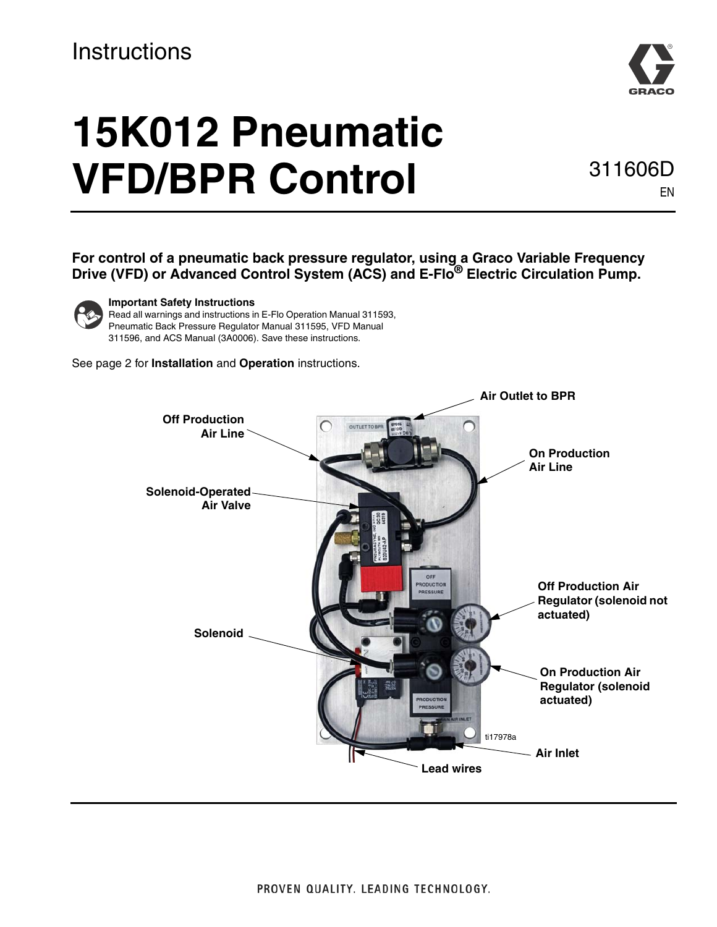#### **Instructions**



# **15K012 Pneumatic VFD/BPR Control 311606D**

EN

**For control of a pneumatic back pressure regulator, using a Graco Variable Frequency Drive (VFD) or Advanced Control System (ACS) and E-Flo® Electric Circulation Pump.**



#### **Important Safety Instructions**

Read all warnings and instructions in E-Flo Operation Manual 311593, Pneumatic Back Pressure Regulator Manual 311595, VFD Manual 311596, and ACS Manual (3A0006). Save these instructions.

<span id="page-0-0"></span>See page [2](#page-1-0) for **[Installation](#page-1-0)** and **[Operation](#page-1-1)** instructions.